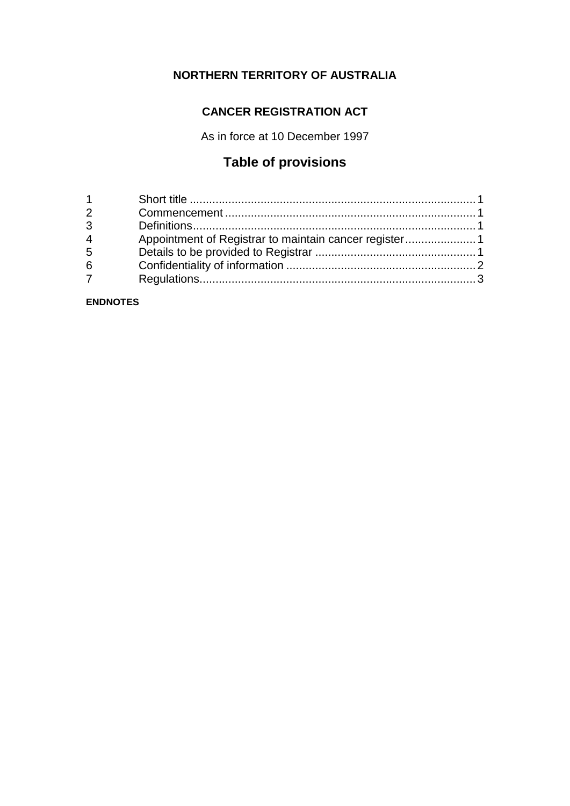# **NORTHERN TERRITORY OF AUSTRALIA**

# **CANCER REGISTRATION ACT**

As in force at 10 December 1997

# **Table of provisions**

| $1 \quad \blacksquare$ |  |
|------------------------|--|
| $2^{\sim}$             |  |
| $\overline{3}$         |  |
| $\overline{4}$         |  |
| 5                      |  |
| 6                      |  |
| $7^{\circ}$            |  |
|                        |  |

**ENDNOTES**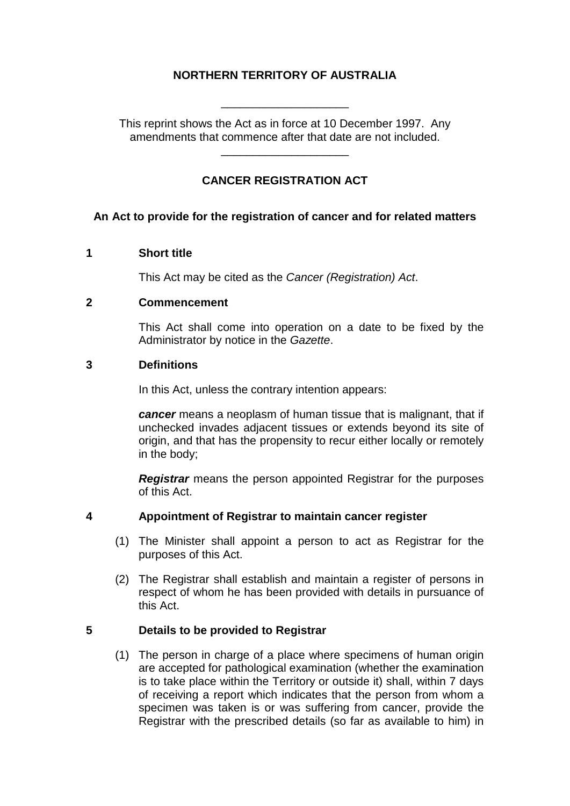## **NORTHERN TERRITORY OF AUSTRALIA**

\_\_\_\_\_\_\_\_\_\_\_\_\_\_\_\_\_\_\_\_

This reprint shows the Act as in force at 10 December 1997. Any amendments that commence after that date are not included.

\_\_\_\_\_\_\_\_\_\_\_\_\_\_\_\_\_\_\_\_

## **CANCER REGISTRATION ACT**

#### **An Act to provide for the registration of cancer and for related matters**

#### **1 Short title**

This Act may be cited as the *Cancer (Registration) Act*.

#### **2 Commencement**

This Act shall come into operation on a date to be fixed by the Administrator by notice in the *Gazette*.

#### **3 Definitions**

In this Act, unless the contrary intention appears:

*cancer* means a neoplasm of human tissue that is malignant, that if unchecked invades adjacent tissues or extends beyond its site of origin, and that has the propensity to recur either locally or remotely in the body;

*Registrar* means the person appointed Registrar for the purposes of this Act.

#### **4 Appointment of Registrar to maintain cancer register**

- (1) The Minister shall appoint a person to act as Registrar for the purposes of this Act.
- (2) The Registrar shall establish and maintain a register of persons in respect of whom he has been provided with details in pursuance of this Act.

#### **5 Details to be provided to Registrar**

(1) The person in charge of a place where specimens of human origin are accepted for pathological examination (whether the examination is to take place within the Territory or outside it) shall, within 7 days of receiving a report which indicates that the person from whom a specimen was taken is or was suffering from cancer, provide the Registrar with the prescribed details (so far as available to him) in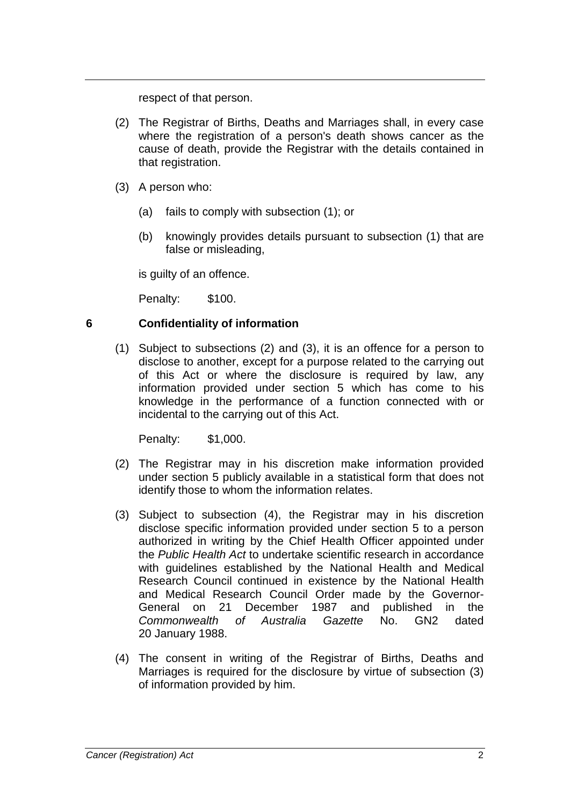respect of that person.

- (2) The Registrar of Births, Deaths and Marriages shall, in every case where the registration of a person's death shows cancer as the cause of death, provide the Registrar with the details contained in that registration.
- (3) A person who:
	- (a) fails to comply with subsection (1); or
	- (b) knowingly provides details pursuant to subsection (1) that are false or misleading,

is guilty of an offence.

Penalty: \$100.

## **6 Confidentiality of information**

(1) Subject to subsections (2) and (3), it is an offence for a person to disclose to another, except for a purpose related to the carrying out of this Act or where the disclosure is required by law, any information provided under section 5 which has come to his knowledge in the performance of a function connected with or incidental to the carrying out of this Act.

Penalty: \$1,000.

- (2) The Registrar may in his discretion make information provided under section 5 publicly available in a statistical form that does not identify those to whom the information relates.
- (3) Subject to subsection (4), the Registrar may in his discretion disclose specific information provided under section 5 to a person authorized in writing by the Chief Health Officer appointed under the *Public Health Act* to undertake scientific research in accordance with guidelines established by the National Health and Medical Research Council continued in existence by the National Health and Medical Research Council Order made by the Governor-General on 21 December 1987 and published in the<br>Commonwealth of Australia Gazette No. GN2 dated *Commonwealth of Australia Gazette* No. GN2 dated 20 January 1988.
- (4) The consent in writing of the Registrar of Births, Deaths and Marriages is required for the disclosure by virtue of subsection (3) of information provided by him.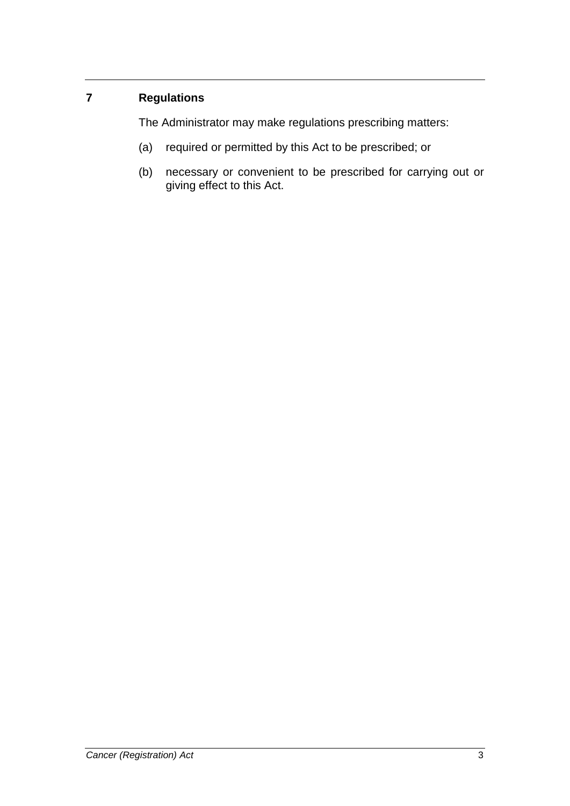# **7 Regulations**

The Administrator may make regulations prescribing matters:

- (a) required or permitted by this Act to be prescribed; or
- (b) necessary or convenient to be prescribed for carrying out or giving effect to this Act.